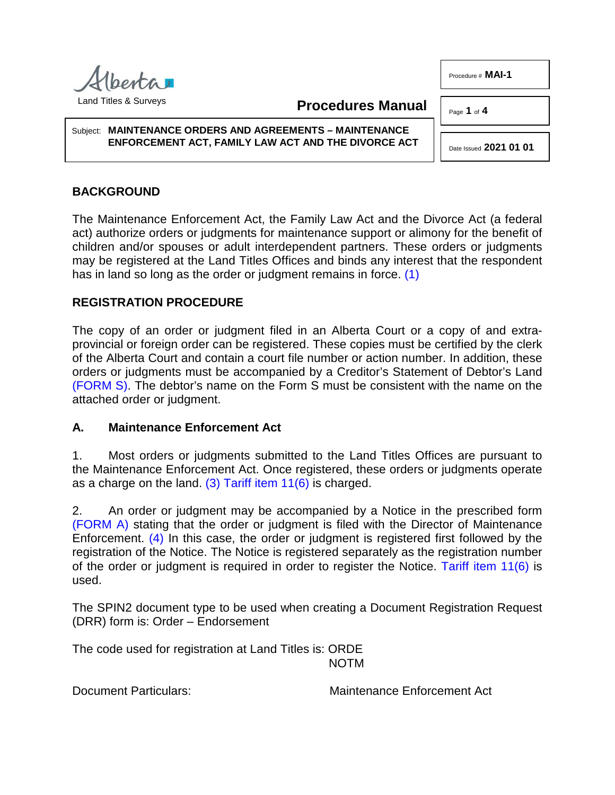Land Titles & Surveys

**Procedures Manual**

Subject: **MAINTENANCE ORDERS AND AGREEMENTS – MAINTENANCE ENFORCEMENT ACT, FAMILY LAW ACT AND THE DIVORCE ACT**

# **BACKGROUND**

The Maintenance Enforcement Act, the Family Law Act and the Divorce Act (a federal act) authorize orders or judgments for maintenance support or alimony for the benefit of children and/or spouses or adult interdependent partners. These orders or judgments may be registered at the Land Titles Offices and binds any interest that the respondent has in land so long as the order or judgment remains in force. [\(1\)](#page-3-0)

### **REGISTRATION PROCEDURE**

The copy of an order or judgment filed in an Alberta Court or a copy of and extraprovincial or foreign order can be registered. These copies must be certified by the clerk of the Alberta Court and contain a court file number or action number. In addition, these orders or judgments must be accompanied by a Creditor's Statement of Debtor's Land [\(FORM S\).](http://www.servicealberta.ca/pdf/ltmanual/FORMS.pdf) The debtor's name on the Form S must be consistent with the name on the attached order or judgment.

### **A. Maintenance Enforcement Act**

<span id="page-0-1"></span>1. Most orders or judgments submitted to the Land Titles Offices are pursuant to the Maintenance Enforcement Act. Once registered, these orders or judgments operate as a charge on the land.  $(3)$  [Tariff item 11\(6\)](http://www.servicealberta.ca/pdf/ltmanual/APPENDIXI.pdf) is charged.

<span id="page-0-2"></span>2. An order or judgment may be accompanied by a Notice in the prescribed form [\(FORM A\)](http://www.servicealberta.ca/pdf/ltmanual/MAI-1-FORMA.pdf) stating that the order or judgment is filed with the Director of Maintenance Enforcement. [\(4\)](#page-3-2) In this case, the order or judgment is registered first followed by the registration of the Notice. The Notice is registered separately as the registration number of the order or judgment is required in order to register the Notice. [Tariff item 11\(6\)](http://www.servicealberta.ca/pdf/ltmanual/APPENDIXI.pdf) is used.

The SPIN2 document type to be used when creating a Document Registration Request (DRR) form is: Order – Endorsement

The code used for registration at Land Titles is: ORDE

NOTM

Document Particulars: Maintenance Enforcement Act



Procedure # **MAI-1**

Page **1** of **4**

<span id="page-0-0"></span>Date Issued **2021 01 01**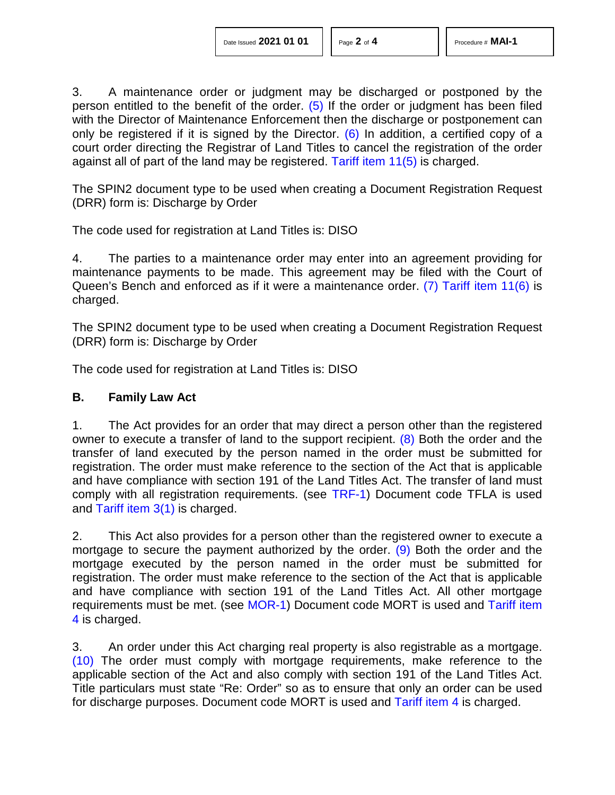<span id="page-1-1"></span><span id="page-1-0"></span>3. A maintenance order or judgment may be discharged or postponed by the person entitled to the benefit of the order. [\(5\)](#page-3-3) If the order or judgment has been filed with the Director of Maintenance Enforcement then the discharge or postponement can only be registered if it is signed by the Director.  $(6)$  In addition, a certified copy of a court order directing the Registrar of Land Titles to cancel the registration of the order against all of part of the land may be registered. [Tariff item 11\(5\)](http://www.servicealberta.ca/pdf/ltmanual/APPENDIXI.pdf) is charged.

The SPIN2 document type to be used when creating a Document Registration Request (DRR) form is: Discharge by Order

The code used for registration at Land Titles is: DISO

<span id="page-1-2"></span>4. The parties to a maintenance order may enter into an agreement providing for maintenance payments to be made. This agreement may be filed with the Court of Queen's Bench and enforced as if it were a maintenance order. [\(7\)](#page-3-5) [Tariff item 11\(6\)](http://www.servicealberta.ca/pdf/ltmanual/APPENDIXI.pdf) is charged.

The SPIN2 document type to be used when creating a Document Registration Request (DRR) form is: Discharge by Order

The code used for registration at Land Titles is: DISO

### **B. Family Law Act**

<span id="page-1-3"></span>1. The Act provides for an order that may direct a person other than the registered owner to execute a transfer of land to the support recipient. [\(8\)](#page-3-6) Both the order and the transfer of land executed by the person named in the order must be submitted for registration. The order must make reference to the section of the Act that is applicable and have compliance with section 191 of the Land Titles Act. The transfer of land must comply with all registration requirements. (see [TRF-1\)](http://www.servicealberta.ca/pdf/ltmanual/TRF-1.pdf) Document code TFLA is used and [Tariff item 3\(1\)](http://www.servicealberta.ca/pdf/ltmanual/APPENDIXI.pdf) is charged.

<span id="page-1-4"></span>2. This Act also provides for a person other than the registered owner to execute a mortgage to secure the payment authorized by the order. [\(9\)](#page-3-7) Both the order and the mortgage executed by the person named in the order must be submitted for registration. The order must make reference to the section of the Act that is applicable and have compliance with section 191 of the Land Titles Act. All other mortgage requirements must be met. (see [MOR-1\)](http://www.servicealberta.ca/pdf/ltmanual/MOR-1.pdf) Document code MORT is used and [Tariff item](http://www.servicealberta.ca/pdf/ltmanual/APPENDIXI.pdf)  [4](http://www.servicealberta.ca/pdf/ltmanual/APPENDIXI.pdf) is charged.

<span id="page-1-5"></span>3. An order under this Act charging real property is also registrable as a mortgage. [\(10\)](#page-3-8) The order must comply with mortgage requirements, make reference to the applicable section of the Act and also comply with section 191 of the Land Titles Act. Title particulars must state "Re: Order" so as to ensure that only an order can be used for discharge purposes. Document code MORT is used and [Tariff item 4](http://www.servicealberta.ca/pdf/ltmanual/APPENDIXI.pdf) is charged.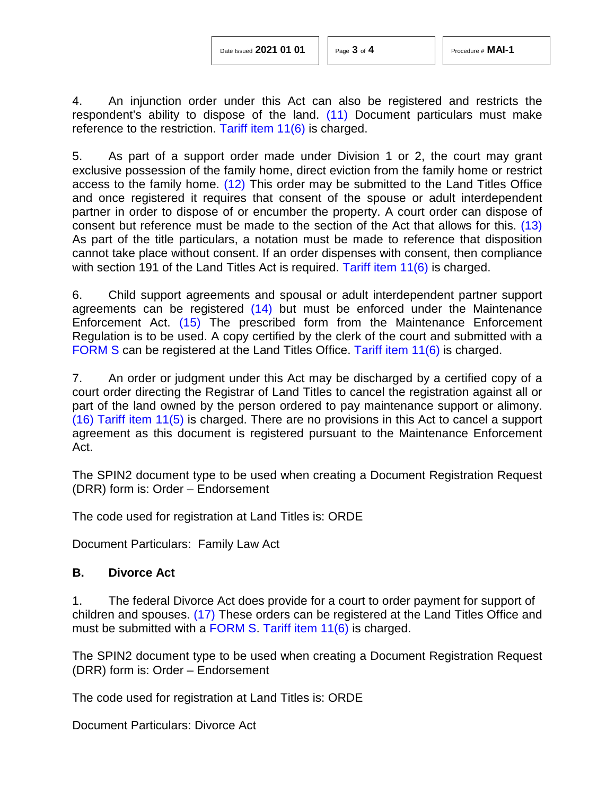<span id="page-2-0"></span>4. An injunction order under this Act can also be registered and restricts the respondent's ability to dispose of the land. [\(11\)](#page-3-9) Document particulars must make reference to the restriction. [Tariff item 11\(6\)](http://www.servicealberta.ca/pdf/ltmanual/APPENDIXI.pdf) is charged.

<span id="page-2-2"></span><span id="page-2-1"></span>5. As part of a support order made under Division 1 or 2, the court may grant exclusive possession of the family home, direct eviction from the family home or restrict access to the family home. [\(12\)](#page-3-10) This order may be submitted to the Land Titles Office and once registered it requires that consent of the spouse or adult interdependent partner in order to dispose of or encumber the property. A court order can dispose of consent but reference must be made to the section of the Act that allows for this. [\(13\)](#page-3-11) As part of the title particulars, a notation must be made to reference that disposition cannot take place without consent. If an order dispenses with consent, then compliance with section 191 of the Land Titles Act is required. [Tariff item 11\(6\)](http://www.servicealberta.ca/pdf/ltmanual/APPENDIXI.pdf) is charged.

<span id="page-2-4"></span><span id="page-2-3"></span>6. Child support agreements and spousal or adult interdependent partner support agreements can be registered [\(14\)](#page-3-12) but must be enforced under the Maintenance Enforcement Act. [\(15\)](#page-3-13) The prescribed form from the Maintenance Enforcement Regulation is to be used. A copy certified by the clerk of the court and submitted with a [FORM S](http://www.servicealberta.ca/pdf/ltmanual/FORMS.pdf) can be registered at the Land Titles Office. [Tariff item 11\(6\)](http://www.servicealberta.ca/pdf/ltmanual/APPENDIXI.pdf) is charged.

<span id="page-2-5"></span>7. An order or judgment under this Act may be discharged by a certified copy of a court order directing the Registrar of Land Titles to cancel the registration against all or part of the land owned by the person ordered to pay maintenance support or alimony. [\(16\)](#page-3-14) [Tariff item 11\(5\)](http://www.servicealberta.ca/pdf/ltmanual/APPENDIXI.pdf) is charged. There are no provisions in this Act to cancel a support agreement as this document is registered pursuant to the Maintenance Enforcement Act.

The SPIN2 document type to be used when creating a Document Registration Request (DRR) form is: Order – Endorsement

The code used for registration at Land Titles is: ORDE

Document Particulars: Family Law Act

### **B. Divorce Act**

<span id="page-2-6"></span>1. The federal Divorce Act does provide for a court to order payment for support of children and spouses. [\(17\)](#page-3-15) These orders can be registered at the Land Titles Office and must be submitted with a [FORM S.](http://www.servicealberta.ca/pdf/ltmanual/FORMS.pdf) [Tariff item 11\(6\)](http://www.servicealberta.ca/pdf/ltmanual/APPENDIXI.pdf) is charged.

The SPIN2 document type to be used when creating a Document Registration Request (DRR) form is: Order – Endorsement

The code used for registration at Land Titles is: ORDE

Document Particulars: Divorce Act